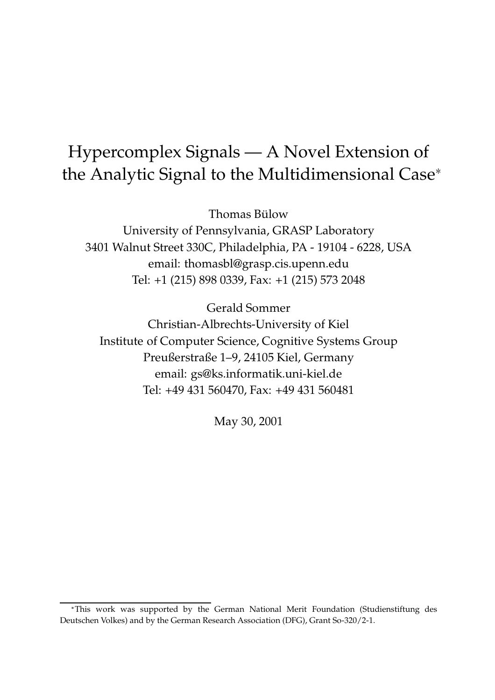# Hypercomplex Signals — A Novel Extension of the Analytic Signal to the Multidimensional Case

Thomas Bülow

University of Pennsylvania, GRASP Laboratory 3401 Walnut Street 330C, Philadelphia, PA - 19104 - 6228, USA email: thomasbl@grasp.cis.upenn.edu Tel: +1 (215) 898 0339, Fax: +1 (215) 573 2048

Gerald Sommer Christian-Albrechts-University of Kiel Institute of Computer Science, Cognitive Systems Group Preußerstraße 1–9, 24105 Kiel, Germany email: gs@ks.informatik.uni-kiel.de Tel: +49 431 560470, Fax: +49 431 560481

May 30, 2001

This work was supported by the German National Merit Foundation (Studienstiftung des Deutschen Volkes) and by the German Research Association (DFG), Grant So-320/2-1.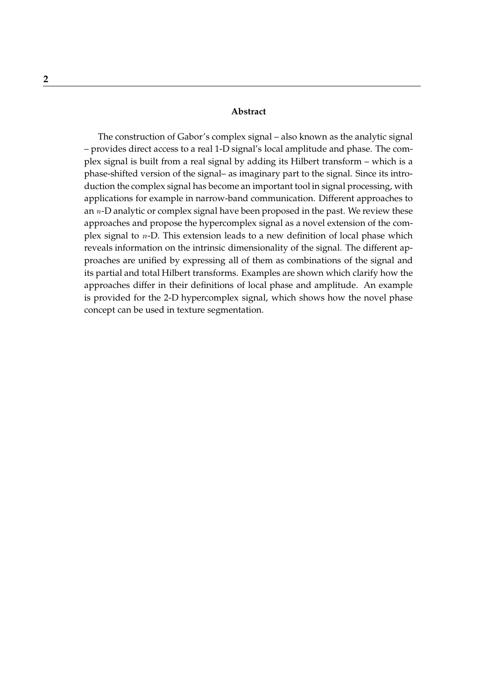#### **Abstract**

The construction of Gabor's complex signal – also known as the analytic signal – provides direct access to a real 1-D signal's local amplitude and phase. The complex signal is built from a real signal by adding its Hilbert transform – which is a phase-shifted version of the signal– as imaginary part to the signal. Since its introduction the complex signal has become an important tool in signal processing, with applications for example in narrow-band communication. Different approaches to an  $n$ -D analytic or complex signal have been proposed in the past. We review these approaches and propose the hypercomplex signal as a novel extension of the complex signal to <sup>n</sup>-D. This extension leads to a new definition of local phase which reveals information on the intrinsic dimensionality of the signal. The different approaches are unified by expressing all of them as combinations of the signal and its partial and total Hilbert transforms. Examples are shown which clarify how the approaches differ in their definitions of local phase and amplitude. An example is provided for the 2-D hypercomplex signal, which shows how the novel phase concept can be used in texture segmentation.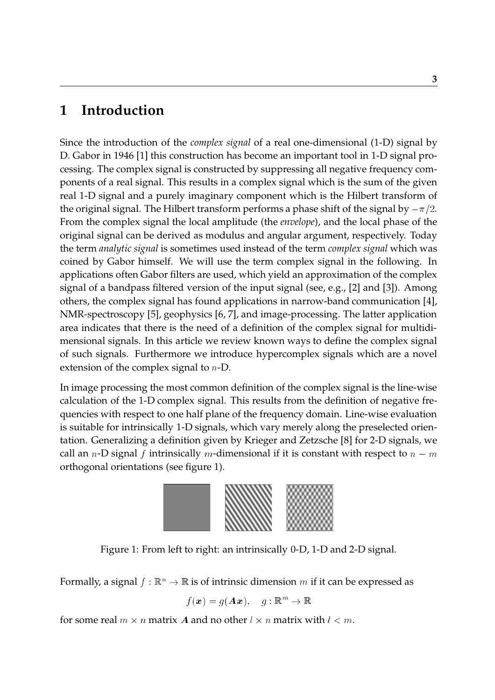### **1 Introduction**

Since the introduction of the *complex signal* of a real one-dimensional (1-D) signal by D. Gabor in 1946 [1] this construction has become an important tool in 1-D signal processing. The complex signal is constructed by suppressing all negative frequency components of a real signal. This results in a complex signal which is the sum of the given real 1-D signal and a purely imaginary component which is the Hilbert transform of the original signal. The Hilbert transform performs a phase shift of the signal by  $-\pi/2$ . From the complex signal the local amplitude (the *envelope*), and the local phase of the original signal can be derived as modulus and angular argument, respectively. Today the term *analytic signal* is sometimes used instead of the term *complex signal* which was coined by Gabor himself. We will use the term complex signal in the following. In applications often Gabor filters are used, which yield an approximation of the complex signal of a bandpass filtered version of the input signal (see, e.g., [2] and [3]). Among others, the complex signal has found applications in narrow-band communication [4], NMR-spectroscopy [5], geophysics [6, 7], and image-processing. The latter application area indicates that there is the need of a definition of the complex signal for multidimensional signals. In this article we review known ways to define the complex signal of such signals. Furthermore we introduce hypercomplex signals which are a novel extension of the complex signal to <sup>n</sup>-D.

In image processing the most common definition of the complex signal is the line-wise calculation of the 1-D complex signal. This results from the definition of negative frequencies with respect to one half plane of the frequency domain. Line-wise evaluation is suitable for intrinsically 1-D signals, which vary merely along the preselected orientation. Generalizing a definition given by Krieger and Zetzsche [8] for 2-D signals, we call an *n*-D signal f intrinsically *m*-dimensional if it is constant with respect to  $n - m$ orthogonal orientations (see figure 1).



Figure 1: From left to right: an intrinsically 0-D, 1-D and 2-D signal.

Formally, a signal  $f : \mathbb{R}^n \to \mathbb{R}$  is of intrinsic dimension m if it can be expressed as

$$
f(\boldsymbol{x}) = g(\boldsymbol{A}\boldsymbol{x}), \quad g: \mathbb{R}^m \to \mathbb{R}
$$

for some real  $m \times n$  matrix  $\boldsymbol{A}$  and no other  $l \times n$  matrix with  $l < m$ .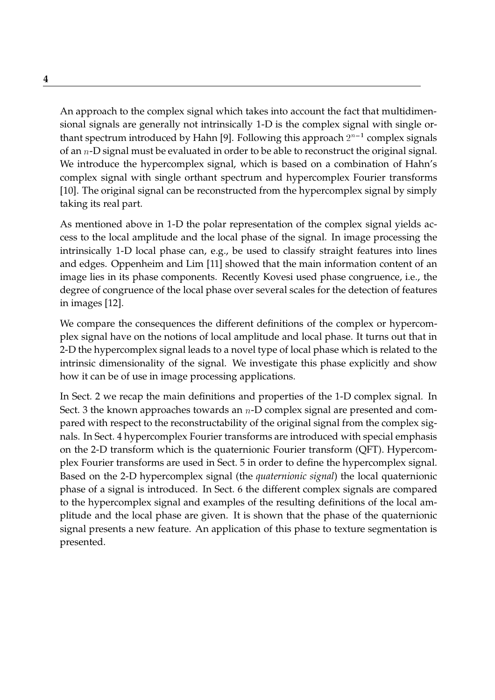An approach to the complex signal which takes into account the fact that multidimensional signals are generally not intrinsically 1-D is the complex signal with single orthant spectrum introduced by Hahn [9]. Following this approach  $2^{n-1}$  complex signals of an <sup>n</sup>-D signal must be evaluated in order to be able to reconstruct the original signal. We introduce the hypercomplex signal, which is based on a combination of Hahn's complex signal with single orthant spectrum and hypercomplex Fourier transforms [10]. The original signal can be reconstructed from the hypercomplex signal by simply taking its real part.

As mentioned above in 1-D the polar representation of the complex signal yields access to the local amplitude and the local phase of the signal. In image processing the intrinsically 1-D local phase can, e.g., be used to classify straight features into lines and edges. Oppenheim and Lim [11] showed that the main information content of an image lies in its phase components. Recently Kovesi used phase congruence, i.e., the degree of congruence of the local phase over several scales for the detection of features in images [12].

We compare the consequences the different definitions of the complex or hypercomplex signal have on the notions of local amplitude and local phase. It turns out that in 2-D the hypercomplex signal leads to a novel type of local phase which is related to the intrinsic dimensionality of the signal. We investigate this phase explicitly and show how it can be of use in image processing applications.

In Sect. 2 we recap the main definitions and properties of the 1-D complex signal. In Sect. 3 the known approaches towards an  $n$ -D complex signal are presented and compared with respect to the reconstructability of the original signal from the complex signals. In Sect. 4 hypercomplex Fourier transforms are introduced with special emphasis on the 2-D transform which is the quaternionic Fourier transform (QFT). Hypercomplex Fourier transforms are used in Sect. 5 in order to define the hypercomplex signal. Based on the 2-D hypercomplex signal (the *quaternionic signal*) the local quaternionic phase of a signal is introduced. In Sect. 6 the different complex signals are compared to the hypercomplex signal and examples of the resulting definitions of the local amplitude and the local phase are given. It is shown that the phase of the quaternionic signal presents a new feature. An application of this phase to texture segmentation is presented.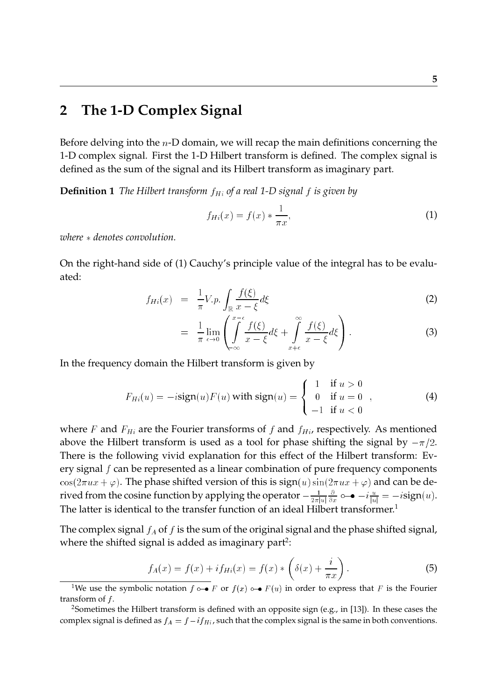### **2 The 1-D Complex Signal**

Before delving into the  $n$ -D domain, we will recap the main definitions concerning the 1-D complex signal. First the 1-D Hilbert transform is defined. The complex signal is defined as the sum of the signal and its Hilbert transform as imaginary part.

**Definition 1** *The Hilbert transform*  $f_{Hi}$  *of a real* 1-D *signal*  $f$  *is given by* 

$$
f_{Hi}(x) = f(x) * \frac{1}{\pi x},\tag{1}
$$

*where denotes convolution.*

On the right-hand side of (1) Cauchy's principle value of the integral has to be evaluated:

$$
f_{Hi}(x) = \frac{1}{\pi} V.p. \int_{\mathbb{R}} \frac{f(\xi)}{x - \xi} d\xi \tag{2}
$$

$$
= \frac{1}{\pi} \lim_{\epsilon \to 0} \left( \int_{-\infty}^{x-\epsilon} \frac{f(\xi)}{x-\xi} d\xi + \int_{x+\epsilon}^{\infty} \frac{f(\xi)}{x-\xi} d\xi \right).
$$
 (3)

In the frequency domain the Hilbert transform is given by

$$
F_{Hi}(u) = -i \operatorname{sign}(u) F(u) \text{ with } \operatorname{sign}(u) = \begin{cases} 1 & \text{if } u > 0 \\ 0 & \text{if } u = 0 \\ -1 & \text{if } u < 0 \end{cases}, \tag{4}
$$

where F and  $F_{Hi}$  are the Fourier transforms of f and  $f_{Hi}$ , respectively. As mentioned above the Hilbert transform is used as a tool for phase shifting the signal by  $-\pi/2$ . There is the following vivid explanation for this effect of the Hilbert transform: Every signal  $f$  can be represented as a linear combination of pure frequency components  $\cos(2\pi ux + \varphi)$ . The phase shifted version of this is  $\sin(u)\sin(2\pi ux + \varphi)$  and can be derived from the cosine function by applying the operator  $-\frac{1}{2\pi |u|}$ д  $\frac{\partial}{\partial x}$   $\circ\!\!-\!\!\bullet -i\frac{u}{|u|}=-i\text{sign}(u).$ The latter is identical to the transfer function of an ideal Hilbert transformer.<sup>1</sup>

The complex signal  $f_A$  of f is the sum of the original signal and the phase shifted signal, where the shifted signal is added as imaginary part<sup>2</sup>:

$$
f_A(x) = f(x) + if_{Hi}(x) = f(x) * \left(\delta(x) + \frac{i}{\pi x}\right).
$$
 (5)

<sup>&</sup>lt;sup>1</sup>We use the symbolic notation  $f \circ \bullet F$  or  $f(x) \circ \bullet F(u)$  in order to express that F is the Fourier transform of  $f$ .

<sup>&</sup>lt;sup>2</sup>Sometimes the Hilbert transform is defined with an opposite sign (e.g., in [13]). In these cases the complex signal is defined as  $f_A = f - i f_{Hi}$ , such that the complex signal is the same in both conventions.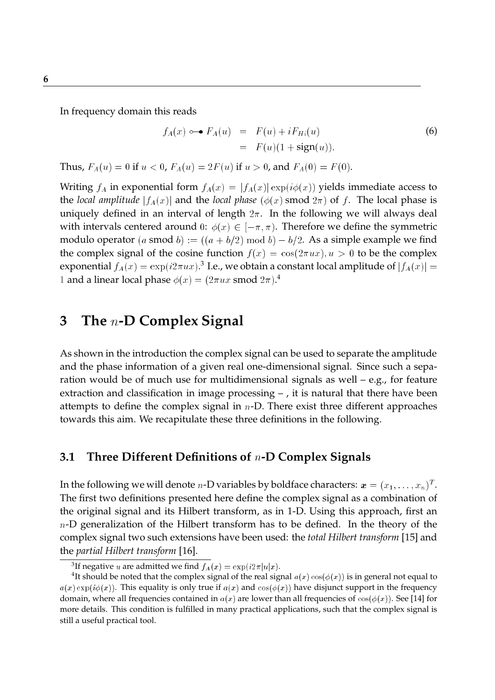In frequency domain this reads

$$
f_A(x) \circ \mathbf{P}_A(u) = F(u) + i F_{Hi}(u)
$$
  
=  $F(u)(1 + sign(u)).$  (6)

Thus,  $F_A(u) = 0$  if  $u < 0$ ,  $F_A(u) = 2F(u)$  if  $u > 0$ , and  $F_A(0) = F(0)$ .

Writing  $f_A$  in exponential form  $f_A(x) = |f_A(x)| \exp(i\phi(x))$  yields immediate access to the *local amplitude*  $|f_A(x)|$  and the *local phase* ( $\phi(x)$  smod  $2\pi$ ) of f. The local phase is uniquely defined in an interval of length  $2\pi$ . In the following we will always deal with intervals centered around 0:  $\phi(x) \in [-\pi, \pi)$ . Therefore we define the symmetric modulo operator (a smod b) :=  $((a + b/2) \mod b) - b/2$ . As a simple example we find the complex signal of the cosine function  $f(x) = \cos(2\pi ux), u > 0$  to be the complex exponential  $f_A(x) = \exp(i2\pi ux).$ <sup>3</sup> I.e., we obtain a constant local amplitude of  $|f_A(x)| =$ 1 and a linear local phase  $\phi(x) = (2\pi u x \text{ smod } 2\pi)^4$ .

### **3 The** <sup>n</sup>**-D Complex Signal**

As shown in the introduction the complex signal can be used to separate the amplitude and the phase information of a given real one-dimensional signal. Since such a separation would be of much use for multidimensional signals as well – e.g., for feature extraction and classification in image processing – , it is natural that there have been attempts to define the complex signal in  $n$ -D. There exist three different approaches towards this aim. We recapitulate these three definitions in the following.

#### **3.1 Three Different Definitions of** <sup>n</sup>**-D Complex Signals**

In the following we will denote  $n$ -D variables by boldface characters:  $\bm{x}=(x_1,\ldots,x_n)^T.$ The first two definitions presented here define the complex signal as a combination of the original signal and its Hilbert transform, as in 1-D. Using this approach, first an  $n$ -D generalization of the Hilbert transform has to be defined. In the theory of the complex signal two such extensions have been used: the *total Hilbert transform* [15] and the *partial Hilbert transform* [16].

<sup>&</sup>lt;sup>3</sup>If negative  $u$  are admitted we find  $f_A(x) = \exp(i2\pi |u|x).$ 

 $^4$ It should be noted that the complex signal of the real signal  $a(x) \cos(\phi(x))$  is in general not equal to  $a(x) \exp(i\phi(x))$ . This equality is only true if  $a(x)$  and  $\cos(\phi(x))$  have disjunct support in the frequency domain, where all frequencies contained in  $a(x)$  are lower than all frequencies of  $cos(\phi(x))$ . See [14] for more details. This condition is fulfilled in many practical applications, such that the complex signal is still a useful practical tool.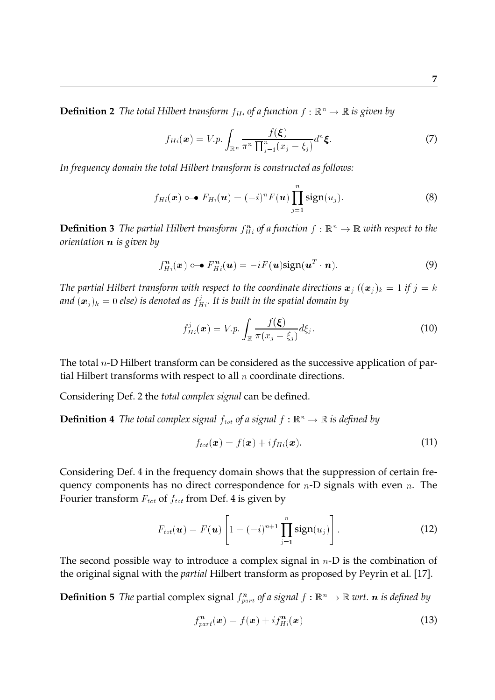**Definition 2** *The total Hilbert transform*  $f_H$  *of a function*  $f : \mathbb{R}^n \to \mathbb{R}$  *is given by* 

$$
f_{Hi}(\boldsymbol{x}) = V.p. \int_{\mathbb{R}^n} \frac{f(\boldsymbol{\xi})}{\pi^n \prod_{j=1}^n (x_j - \xi_j)} d^n \boldsymbol{\xi}.
$$
 (7)

*In frequency domain the total Hilbert transform is constructed as follows:*

$$
f_{Hi}(\boldsymbol{x}) \circ \mathbf{P}_{Hi}(\boldsymbol{u}) = (-i)^n F(\boldsymbol{u}) \prod_{j=1}^n sign(u_j).
$$
 (8)

**Definition 3** The partial Hilbert transform  $f_{H_i}^n$  of a function  $f : \mathbb{R}^n \to \mathbb{R}$  with respect to the *orientation* <sup>n</sup> *is given by*

$$
f_{Hi}^{n}(\boldsymbol{x}) \circ \mathbf{\rightarrow} F_{Hi}^{n}(\boldsymbol{u}) = -i F(\boldsymbol{u}) \text{sign}(\boldsymbol{u}^{T} \cdot \boldsymbol{n}). \tag{9}
$$

*The partial Hilbert transform with respect to the coordinate directions*  $x_j$   $((x_j)_k = 1$  *if*  $j = k$ and  $(\boldsymbol{x}_j)_k = 0$  else) is denoted as  $f^j_{Hi}.$  It is built in the spatial domain by

$$
f_{Hi}^{j}(\boldsymbol{x}) = V.p. \int_{\mathbb{R}} \frac{f(\boldsymbol{\xi})}{\pi(x_{j} - \xi_{j})} d\xi_{j}.
$$
 (10)

The total  $n$ -D Hilbert transform can be considered as the successive application of partial Hilbert transforms with respect to all  $n$  coordinate directions.

Considering Def. 2 the *total complex signal* can be defined.

**Definition 4** *The total complex signal*  $f_{tot}$  *of a signal*  $f : \mathbb{R}^n \to \mathbb{R}$  *is defined by* 

$$
f_{tot}(\boldsymbol{x}) = f(\boldsymbol{x}) + i f_{Hi}(\boldsymbol{x}). \tag{11}
$$

Considering Def. 4 in the frequency domain shows that the suppression of certain frequency components has no direct correspondence for  $n$ -D signals with even  $n$ . The Fourier transform  $F_{tot}$  of  $f_{tot}$  from Def. 4 is given by

$$
F_{tot}(\boldsymbol{u}) = F(\boldsymbol{u}) \left[ 1 - (-i)^{n+1} \prod_{j=1}^{n} sign(u_j) \right]. \qquad (12)
$$

The second possible way to introduce a complex signal in  $n$ -D is the combination of the original signal with the *partial* Hilbert transform as proposed by Peyrin et al. [17].

**Definition 5** The partial complex signal  $f_{part}^n$  of a signal  $f : \mathbb{R}^n \to \mathbb{R}$  wrt.  $n$  is defined by

$$
f_{part}^{n}(\boldsymbol{x}) = f(\boldsymbol{x}) + i f_{Hi}^{n}(\boldsymbol{x}) \qquad (13)
$$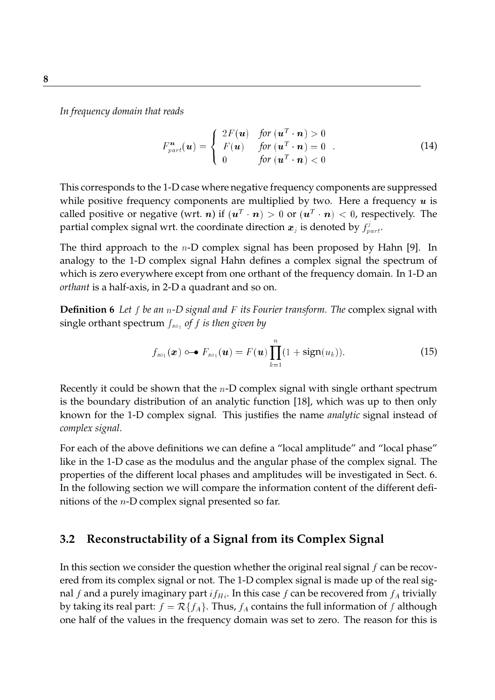*In frequency domain that reads*

$$
F_{part}^{n}(\boldsymbol{u}) = \begin{cases} 2F(\boldsymbol{u}) & \text{for } (\boldsymbol{u}^{T} \cdot \boldsymbol{n}) > 0 \\ F(\boldsymbol{u}) & \text{for } (\boldsymbol{u}^{T} \cdot \boldsymbol{n}) = 0 \\ 0 & \text{for } (\boldsymbol{u}^{T} \cdot \boldsymbol{n}) < 0 \end{cases}
$$
(14)

This corresponds to the 1-D case where negative frequency components are suppressed while positive frequency components are multiplied by two. Here a frequency  $u$  is called positive or negative (wrt. n) if  $(\bm{u}^T\cdot\bm{n})>0$  or  $(\bm{u}^T\cdot\bm{n})< 0$ , respectively. The partial complex signal wrt. the coordinate direction  $\bm{x}_j$  is denoted by  $f_{part}^j.$ 

The third approach to the  $n$ -D complex signal has been proposed by Hahn [9]. In analogy to the 1-D complex signal Hahn defines a complex signal the spectrum of which is zero everywhere except from one orthant of the frequency domain. In 1-D an *orthant* is a half-axis, in 2-D a quadrant and so on.

**Definition 6** *Let* <sup>f</sup> *be an* <sup>n</sup>*-D signal and* <sup>F</sup> *its Fourier transform. The* complex signal with single orthant spectrum  $f_{so_1}$  of  $f$  *is then given by* 

$$
f_{so_1}(\boldsymbol{x}) \circ \mathbf{I} = F(\boldsymbol{u}) \prod_{k=1}^n (1 + sign(u_k)). \tag{15}
$$

Recently it could be shown that the  $n$ -D complex signal with single orthant spectrum is the boundary distribution of an analytic function [18], which was up to then only known for the 1-D complex signal. This justifies the name *analytic* signal instead of *complex signal*.

For each of the above definitions we can define a "local amplitude" and "local phase" like in the 1-D case as the modulus and the angular phase of the complex signal. The properties of the different local phases and amplitudes will be investigated in Sect. 6. In the following section we will compare the information content of the different definitions of the  $n$ -D complex signal presented so far.

#### **3.2 Reconstructability of a Signal from its Complex Signal**

In this section we consider the question whether the original real signal  $f$  can be recovered from its complex signal or not. The 1-D complex signal is made up of the real signal f and a purely imaginary part  $if<sub>H<sub>i</sub></sub>$ . In this case f can be recovered from  $f<sub>A</sub>$  trivially by taking its real part:  $f = \mathcal{R}{f_A}$ . Thus,  $f_A$  contains the full information of f although one half of the values in the frequency domain was set to zero. The reason for this is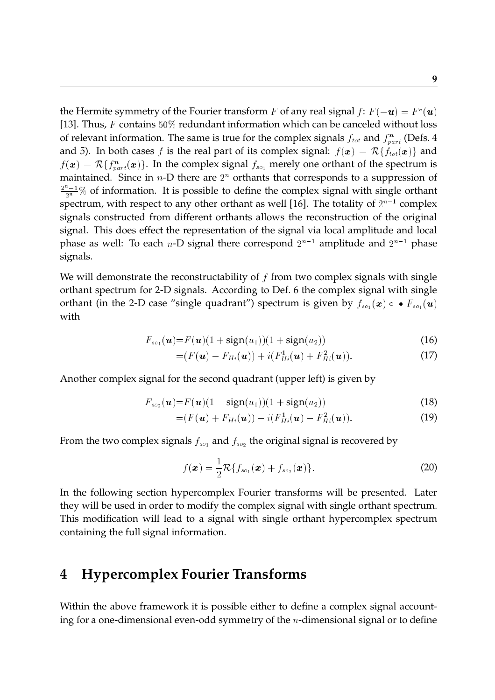the Hermite symmetry of the Fourier transform  $F$  of any real signal  $f\colon F(-\bm{u})=F^*(\bm{u})$ [13]. Thus,  $F$  contains 50% redundant information which can be canceled without loss of relevant information. The same is true for the complex signals  $f_{tot}$  and  $f_{part}^n$  (Defs. 4 and 5). In both cases f is the real part of its complex signal:  $f(\mathbf{x}) = \mathcal{R}{f_{tot}(\mathbf{x})}$  and  $f(\bm{x}) = \mathcal{R}\{f^n_{part}(\bm{x})\}$ . In the complex signal  $f_{so_1}$  merely one orthant of the spectrum is maintained. Since in  $n$ -D there are  $2^n$  orthants that corresponds to a suppression of  $\frac{2^{n}-1}{2^{n}}\%$  of information. It is possible to define the complex signal with single orthant spectrum, with respect to any other orthant as well [16]. The totality of  $2^{n-1}$  complex signals constructed from different orthants allows the reconstruction of the original signal. This does effect the representation of the signal via local amplitude and local phase as well: To each n-D signal there correspond  $2^{n-1}$  amplitude and  $2^{n-1}$  phase signals.

We will demonstrate the reconstructability of  $f$  from two complex signals with single orthant spectrum for 2-D signals. According to Def. 6 the complex signal with single orthant (in the 2-D case "single quadrant") spectrum is given by  $f_{so_1}(\mathbf{x}) \circ \rightarrow F_{so_1}(\mathbf{u})$ with

$$
F_{so_1}(u) = F(u)(1 + sign(u_1))(1 + sign(u_2))
$$
\n(16)

$$
= (F(\mathbf{u}) - F_{Hi}(\mathbf{u})) + i(F_{Hi}^1(\mathbf{u}) + F_{Hi}^2(\mathbf{u})).
$$
\n(17)

Another complex signal for the second quadrant (upper left) is given by

$$
F_{so_2}(\mathbf{u}) = F(\mathbf{u})(1 - \text{sign}(u_1))(1 + \text{sign}(u_2))
$$
\n(18)

$$
= (F(\boldsymbol{u}) + F_{Hi}(\boldsymbol{u})) - i(F_{Hi}^1(\boldsymbol{u}) - F_{Hi}^2(\boldsymbol{u})).
$$
\n(19)

From the two complex signals  $f_{so_1}$  and  $f_{so_2}$  the original signal is recovered by

$$
f(\boldsymbol{x}) = \frac{1}{2} \mathcal{R} \{ f_{so_1}(\boldsymbol{x}) + f_{so_2}(\boldsymbol{x}) \}.
$$
 (20)

In the following section hypercomplex Fourier transforms will be presented. Later they will be used in order to modify the complex signal with single orthant spectrum. This modification will lead to a signal with single orthant hypercomplex spectrum containing the full signal information.

### **4 Hypercomplex Fourier Transforms**

Within the above framework it is possible either to define a complex signal accounting for a one-dimensional even-odd symmetry of the  $n$ -dimensional signal or to define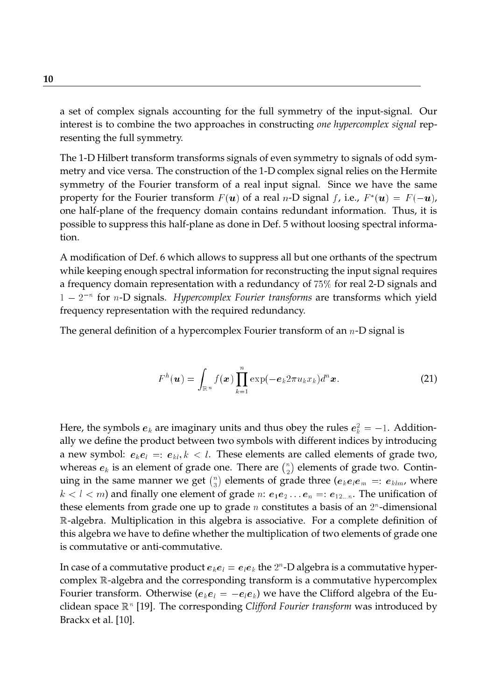a set of complex signals accounting for the full symmetry of the input-signal. Our interest is to combine the two approaches in constructing *one hypercomplex signal* representing the full symmetry.

The 1-D Hilbert transform transforms signals of even symmetry to signals of odd symmetry and vice versa. The construction of the 1-D complex signal relies on the Hermite symmetry of the Fourier transform of a real input signal. Since we have the same property for the Fourier transform  $F(\bm{u})$  of a real n-D signal f, i.e.,  $F^*(\bm{u}) = F(-\bm{u})$ , one half-plane of the frequency domain contains redundant information. Thus, it is possible to suppress this half-plane as done in Def. 5 without loosing spectral information.

A modification of Def. 6 which allows to suppress all but one orthants of the spectrum while keeping enough spectral information for reconstructing the input signal requires a frequency domain representation with a redundancy of 75% for real 2-D signals and 1 – 2<sup>-</sup> for *n*-D signals. *Hypercomplex Fourier transforms* are transforms which yield frequency representation with the required redundancy.

The general definition of a hypercomplex Fourier transform of an  $n$ -D signal is

$$
F^{h}(\boldsymbol{u}) = \int_{\mathbb{R}^{n}} f(\boldsymbol{x}) \prod_{k=1}^{n} \exp(-e_{k} 2 \pi u_{k} x_{k}) d^{n} \boldsymbol{x}.
$$
 (21)

Here, the symbols  $\bm{e}_k$  are imaginary units and thus obey the rules  $\bm{e}_k^2=-1.$  Additionally we define the product between two symbols with different indices by introducing a new symbol:  $e_k e_l =: e_{kl}, k < l$ . These elements are called elements of grade two, whereas  $\bm{e}_k$  is an element of grade one. There are  $\binom{n}{2}$  elements of grade two. Contin- $\overline{\phantom{a}}$ uing in the same manner we get  $\binom{n}{3}$  elements of grade three ( $e_k e_l e_m =: e_{klm}$ , where  $\tilde{ }$  $k < l < m$ ) and finally one element of grade  $n: e_1e_2 \ldots e_n =: e_{12\ldots n}$ . The unification of these elements from grade one up to grade  $n$  constitutes a basis of an  $2^n$ -dimensional <sup>R</sup>-algebra. Multiplication in this algebra is associative. For a complete definition of this algebra we have to define whether the multiplication of two elements of grade one is commutative or anti-commutative.

In case of a commutative product  $\bm{e}_k\bm{e}_l=\bm{e}_l\bm{e}_k$  the  $2^n$ -D algebra is a commutative hypercomplex <sup>R</sup>-algebra and the corresponding transform is a commutative hypercomplex Fourier transform. Otherwise  $(e_ke_l = -e_l e_k)$  we have the Clifford algebra of the Euclidean space  $\mathbb{R}^n$  [19]. The corresponding *Clifford Fourier transform* was introduced by Brackx et al. [10].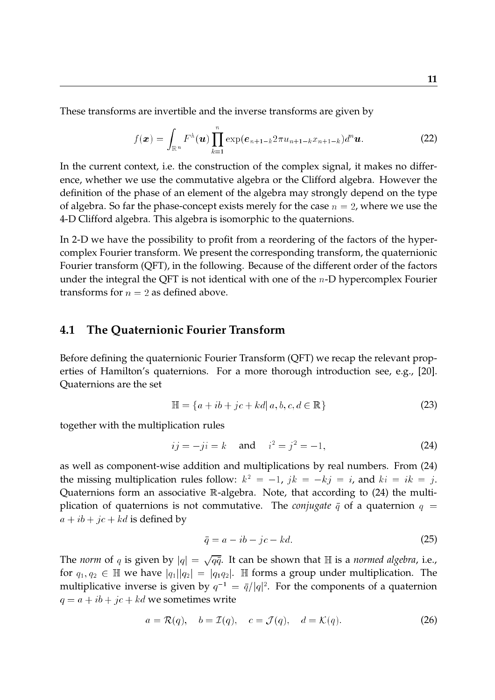These transforms are invertible and the inverse transforms are given by

$$
f(\boldsymbol{x}) = \int_{\mathbb{R}^n} F^h(\boldsymbol{u}) \prod_{k=1}^n \exp(e_{n+1-k} 2\pi u_{n+1-k} x_{n+1-k}) d^n \boldsymbol{u}.
$$
 (22)

In the current context, i.e. the construction of the complex signal, it makes no difference, whether we use the commutative algebra or the Clifford algebra. However the definition of the phase of an element of the algebra may strongly depend on the type of algebra. So far the phase-concept exists merely for the case  $n = 2$ , where we use the 4-D Clifford algebra. This algebra is isomorphic to the quaternions.

In 2-D we have the possibility to profit from a reordering of the factors of the hypercomplex Fourier transform. We present the corresponding transform, the quaternionic Fourier transform (QFT), in the following. Because of the different order of the factors under the integral the QFT is not identical with one of the  $n$ -D hypercomplex Fourier transforms for  $n = 2$  as defined above.

#### **4.1 The Quaternionic Fourier Transform**

Before defining the quaternionic Fourier Transform (QFT) we recap the relevant properties of Hamilton's quaternions. For a more thorough introduction see, e.g., [20]. Quaternions are the set

$$
\mathbb{H} = \{a + ib + jc + kd | a, b, c, d \in \mathbb{R}\}\tag{23}
$$

together with the multiplication rules

$$
ij = -ji = k
$$
 and  $i^2 = j^2 = -1$ , (24)

as well as component-wise addition and multiplications by real numbers. From (24) the missing multiplication rules follow:  $k^2 = -1$ ,  $jk = -kj = i$ , and  $ki = ik = j$ . Quaternions form an associative <sup>R</sup>-algebra. Note, that according to (24) the multiplication of quaternions is not commutative. The *conjugate*  $\bar{q}$  of a quaternion  $q =$  $a + ib + jc + kd$  is defined by

$$
\bar{q} = a - ib - jc - kd. \tag{25}
$$

The *norm* of  $q$  is given by  $|q| = \sqrt{q\bar{q}}$ . It can be shown that  $\mathbb H$  is a *normed algebra,* i.e., for  $q_1, q_2 \in \mathbb{H}$  we have  $|q_1||q_2| = |q_1q_2|$ .  $\mathbb{H}$  forms a group under multiplication. The multiplicative inverse is given by  $q^{-1} = \bar{q}/|q|^2.$  For the components of a quaternion  $q = a + ib + jc + kd$  we sometimes write

$$
a = \mathcal{R}(q), \quad b = \mathcal{I}(q), \quad c = \mathcal{J}(q), \quad d = \mathcal{K}(q). \tag{26}
$$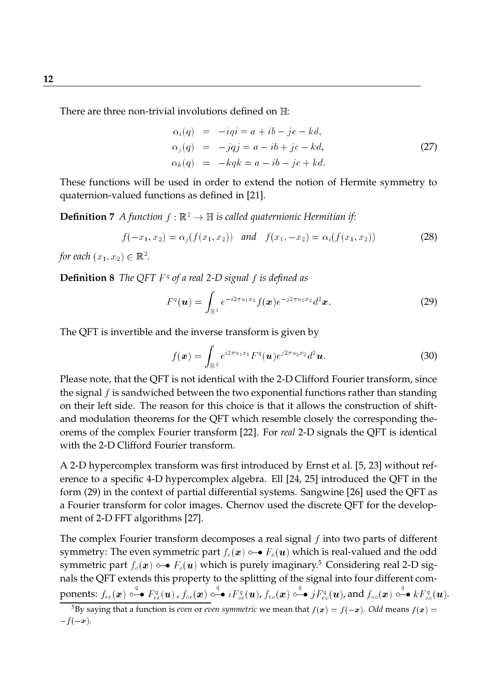There are three non-trivial involutions defined on  $\mathbb{H}$ :

$$
\alpha_i(q) = -iqi = a + ib - jc - kd,
$$
  
\n
$$
\alpha_j(q) = -jqj = a - ib + jc - kd,
$$
  
\n
$$
\alpha_k(q) = -kqk = a - ib - jc + kd.
$$
\n(27)

These functions will be used in order to extend the notion of Hermite symmetry to quaternion-valued functions as defined in [21].

**Definition 7** *A function*  $f : \mathbb{R}^2 \to \mathbb{H}$  *is called quaternionic Hermitian if:* 

$$
f(-x_1, x_2) = \alpha_j(f(x_1, x_2)) \quad \text{and} \quad f(x_1, -x_2) = \alpha_i(f(x_1, x_2)) \tag{28}
$$

for each  $(x_1, x_2) \in \mathbb{R}^2$ .

**Definition 8** *The QFT* <sup>F</sup> <sup>q</sup> *of a real 2-D signal* <sup>f</sup> *is defined as*

$$
F^{q}(\boldsymbol{u}) = \int_{\mathbb{R}^{2}} e^{-i2\pi u_{1}x_{1}} f(\boldsymbol{x}) e^{-j2\pi u_{2}x_{2}} d^{2} \boldsymbol{x}.
$$
 (29)

The QFT is invertible and the inverse transform is given by

$$
f(\boldsymbol{x}) = \int_{\mathbb{R}^2} e^{i2\pi u_1 x_1} F^q(\boldsymbol{u}) e^{j2\pi u_2 x_2} d^2 \boldsymbol{u}.
$$
 (30)

Please note, that the QFT is not identical with the 2-D Clifford Fourier transform, since the signal  $f$  is sandwiched between the two exponential functions rather than standing on their left side. The reason for this choice is that it allows the construction of shiftand modulation theorems for the QFT which resemble closely the corresponding theorems of the complex Fourier transform [22]. For *real* 2-D signals the QFT is identical with the 2-D Clifford Fourier transform.

A 2-D hypercomplex transform was first introduced by Ernst et al. [5, 23] without reference to a specific 4-D hypercomplex algebra. Ell [24, 25] introduced the QFT in the form (29) in the context of partial differential systems. Sangwine [26] used the QFT as a Fourier transform for color images. Chernov used the discrete QFT for the development of 2-D FFT algorithms [27].

The complex Fourier transform decomposes a real signal  $f$  into two parts of different symmetry: The even symmetric part  $f_e(\mathbf{x}) \circ \rightarrow F_e(\mathbf{u})$  which is real-valued and the odd symmetric part  $f_o(x) \rightarrow F_o(u)$  which is purely imaginary.<sup>5</sup> Considering real 2-D signals the QFT extends this property to the splitting of the signal into four different components:  $f_{ee}(\bm{x})$  0–  $\stackrel{q}{\longleftarrow}$   $F^q_{ee}(\bm{u})$  ,  $f_{oe}(\bm{x})$  0 $\stackrel{q}{\longleftarrow}$  $\stackrel{q}{\dashrightarrow} iF^q_{oe}(\bm{u})$ ,  $f_{eo}(\bm{x})$  0 $\stackrel{q}{\dashrightarrow}$  $j_{\cdot \cdot}^{\;q}$   $\rightarrow$   $jF^{q}_{eo}(\bm{u})$ , and  $f_{oo}(\bm{x})$   $\circ$   $\stackrel{q}{\leftarrow}$  $\rightarrow kF_{oo}^{q}(\boldsymbol{u}).$ 

<sup>&</sup>lt;sup>5</sup>By saying that a function is *even* or *even* symmetric we mean that  $f(x) = f(-x)$ . *Odd* means  $f(x) = f(-x)$  $-f(-x).$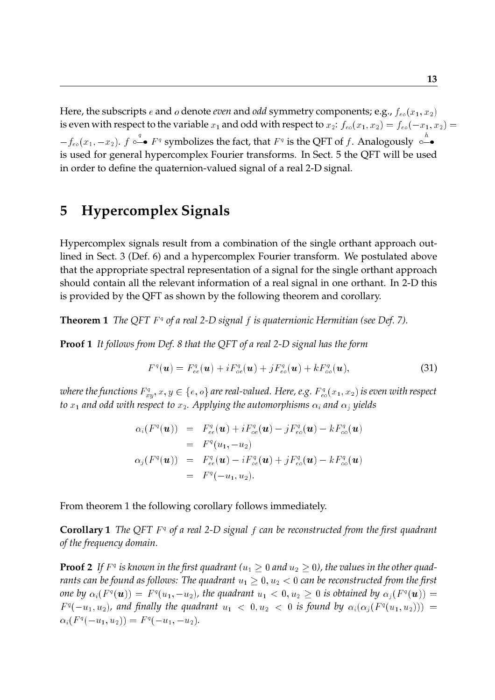Here, the subscripts  $e$  and  $o$  denote *even* and *odd* symmetry components; e.g.,  $f_{eo}(x_1, x_2)$ is even with respect to the variable  $x_1$  and odd with respect to  $x_2$ :  $f_{eo}(x_1, x_2) = f_{eo}(-x_1, x_2) =$  $-f_{eo}(x_1,-x_2)$ .  $f \circ \overset{q}{\neg}$  $\stackrel{q}{\leftarrow}$   $F^q$  symbolizes the fact, that  $F^q$  is the QFT of f. Analogously  $\circ$ is used for general hypercomplex Fourier transforms. In Sect. 5 the QFT will be used in order to define the quaternion-valued signal of a real 2-D signal.

### **5 Hypercomplex Signals**

Hypercomplex signals result from a combination of the single orthant approach outlined in Sect. 3 (Def. 6) and a hypercomplex Fourier transform. We postulated above that the appropriate spectral representation of a signal for the single orthant approach should contain all the relevant information of a real signal in one orthant. In 2-D this is provided by the QFT as shown by the following theorem and corollary.

**Theorem 1** The QFT  $F^q$  of a real 2-D signal f is quaternionic Hermitian (see Def. 7).

**Proof 1** *It follows from Def. 8 that the QFT of a real 2-D signal has the form*

$$
F^q(\boldsymbol{u}) = F^q_{ee}(\boldsymbol{u}) + i F^q_{oe}(\boldsymbol{u}) + j F^q_{eo}(\boldsymbol{u}) + k F^q_{oo}(\boldsymbol{u}), \qquad (31)
$$

where the functions  $F^q_{xy}, x,y \in \{e,o\}$  are real-valued. Here, e.g.  $F^q_{eo}(x_1,x_2)$  is even with respect *to*  $x_1$  *and odd with respect to*  $x_2$ *. Applying the automorphisms*  $\alpha_i$  *and*  $\alpha_j$  *yields* 

$$
\alpha_i(F^q(\boldsymbol{u})) = F_{ee}^q(\boldsymbol{u}) + iF_{oe}^q(\boldsymbol{u}) - jF_{eo}^q(\boldsymbol{u}) - kF_{oo}^q(\boldsymbol{u})
$$
  
\n
$$
= F^q(u_1, -u_2)
$$
  
\n
$$
\alpha_j(F^q(\boldsymbol{u})) = F_{ee}^q(\boldsymbol{u}) - iF_{oe}^q(\boldsymbol{u}) + jF_{eo}^q(\boldsymbol{u}) - kF_{oo}^q(\boldsymbol{u})
$$
  
\n
$$
= F^q(-u_1, u_2).
$$

From theorem 1 the following corollary follows immediately.

**Corollary 1** The QFT F<sup>q</sup> of a real 2-D signal f can be reconstructed from the first quadrant *of the frequency domain.*

**Proof 2** If  $F^q$  is known in the first quadrant ( $u_1 \geq 0$  and  $u_2 \geq 0$ ), the values in the other quad*rants can be found as follows: The quadrant*  $u_1 \geq 0, u_2 < 0$  *can be reconstructed from the first* one by  $\alpha_i(F^q(\bm u)) = F^q(u_1,-u_2)$ , the quadrant  $u_1 < 0, u_2 \geq 0$  is obtained by  $\alpha_j(F^q(\bm u)) =$  $F^q(-u_1, u_2)$ , and finally the quadrant  $u_1 < 0, u_2 < 0$  is found by  $\alpha_i(\alpha_j(F^q(u_1, u_2))) =$  $\alpha_i(F^q(-u_1,u_2)) = F^q(-u_1,-u_2).$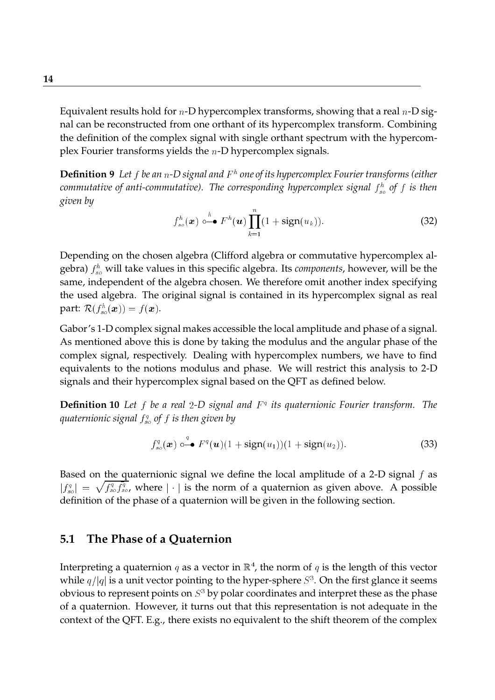Equivalent results hold for  $n$ -D hypercomplex transforms, showing that a real  $n$ -D signal can be reconstructed from one orthant of its hypercomplex transform. Combining the definition of the complex signal with single orthant spectrum with the hypercomplex Fourier transforms yields the  $n$ -D hypercomplex signals.

**Definition 9** *Let* <sup>f</sup> *be an* <sup>n</sup>*-D signal and* <sup>F</sup> <sup>h</sup> *one of its hypercomplex Fourier transforms (either* commutative of anti-commutative). The corresponding hypercomplex signal  $f_{so}^h$  of  $f$  is then *given by*

$$
f_{so}^h(\boldsymbol{x}) \circ \stackrel{h}{\bullet} F^h(\boldsymbol{u}) \prod_{k=1}^n (1 + sign(u_k)). \tag{32}
$$

Depending on the chosen algebra (Clifford algebra or commutative hypercomplex algebra)  $f_{so}^h$  will take values in this specific algebra. Its *components,* however, will be the same, independent of the algebra chosen. We therefore omit another index specifying the used algebra. The original signal is contained in its hypercomplex signal as real part:  $\mathcal{R}(f_{so}^{h}(\boldsymbol{x}))=f(\boldsymbol{x}).$ 

Gabor's 1-D complex signal makes accessible the local amplitude and phase of a signal. As mentioned above this is done by taking the modulus and the angular phase of the complex signal, respectively. Dealing with hypercomplex numbers, we have to find equivalents to the notions modulus and phase. We will restrict this analysis to 2-D signals and their hypercomplex signal based on the QFT as defined below.

**Definition 10** Let f be a real 2-D signal and  $F<sup>q</sup>$  its quaternionic Fourier transform. The *quaternionic signal* <sup>f</sup> q so *of* <sup>f</sup> *is then given by*

$$
f_{so}^q(\boldsymbol{x}) \circ \stackrel{q}{\bullet} \mathbf{F}^q(\boldsymbol{u}) (1 + \text{sign}(u_1)) (1 + \text{sign}(u_2)). \tag{33}
$$

Based on the quaternionic signal we define the local amplitude of a 2-D signal  $f$  as  $|f_{so}^q| = \sqrt{f_{so}^q f_{so}^q}$ , where  $|\cdot|$  is the norm of a quaternion as given above. A possible <sup>p</sup> definition of the phase of a quaternion will be given in the following section.

#### **5.1 The Phase of a Quaternion**

Interpreting a quaternion  $q$  as a vector in  $\mathbb{R}^4$ , the norm of  $q$  is the length of this vector while  $q/|q|$  is a unit vector pointing to the hyper-sphere  $S^3.$  On the first glance it seems obvious to represent points on  $S^3$  by polar coordinates and interpret these as the phase of a quaternion. However, it turns out that this representation is not adequate in the context of the QFT. E.g., there exists no equivalent to the shift theorem of the complex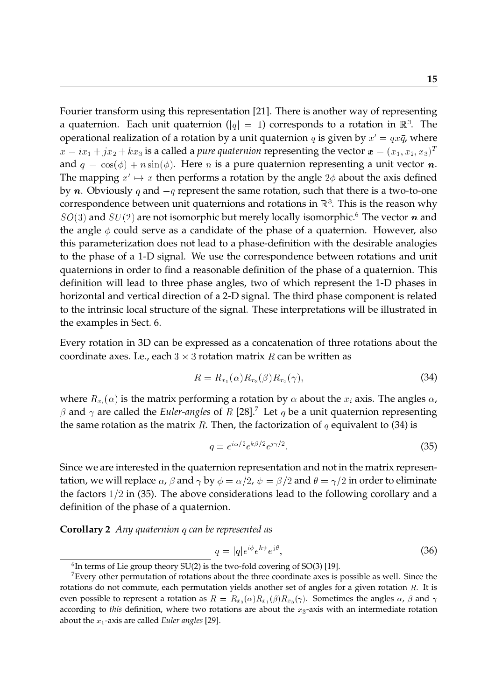Fourier transform using this representation [21]. There is another way of representing a quaternion. Each unit quaternion ( $|q|=|1)$  corresponds to a rotation in  $\mathbb{R}^3.$  The operational realization of a rotation by a unit quaternion q is given by  $x' = qx\bar{q}$ , where  $x = i x_1 + j x_2 + k x_3$  is a called a *pure quaternion* representing the vector  $\boldsymbol{x} = (x_1, x_2, x_3)^T$ and  $q = cos(\phi) + n sin(\phi)$ . Here *n* is a pure quaternion representing a unit vector *n*. The mapping  $x' \mapsto x$  then performs a rotation by the angle  $2\phi$  about the axis defined by *n*. Obviously q and  $-q$  represent the same rotation, such that there is a two-to-one correspondence between unit quaternions and rotations in  $\mathbb{R}^3.$  This is the reason why  $SO(3)$  and  $SU(2)$  are not isomorphic but merely locally isomorphic.<sup>6</sup> The vector *n* and the angle  $\phi$  could serve as a candidate of the phase of a quaternion. However, also this parameterization does not lead to a phase-definition with the desirable analogies to the phase of a 1-D signal. We use the correspondence between rotations and unit quaternions in order to find a reasonable definition of the phase of a quaternion. This definition will lead to three phase angles, two of which represent the 1-D phases in horizontal and vertical direction of a 2-D signal. The third phase component is related to the intrinsic local structure of the signal. These interpretations will be illustrated in the examples in Sect. 6.

Every rotation in 3D can be expressed as a concatenation of three rotations about the coordinate axes. I.e., each  $3\times 3$  rotation matrix  $R$  can be written as

$$
R = R_{x_1}(\alpha) R_{x_3}(\beta) R_{x_2}(\gamma), \tag{34}
$$

where  $R_{x_i}(\alpha)$  is the matrix performing a rotation by  $\alpha$  about the  $x_i$  axis. The angles  $\alpha$ ,  $\beta$  and  $\gamma$  are called the *Euler-angles* of R [28].<sup>7</sup> Let  $q$  be a unit quaternion representing the same rotation as the matrix R. Then, the factorization of q equivalent to (34) is

$$
q = e^{i\alpha/2} e^{k\beta/2} e^{j\gamma/2}.
$$
\n(35)

Since we are interested in the quaternion representation and not in the matrix representation, we will replace  $\alpha$ ,  $\beta$  and  $\gamma$  by  $\phi = \alpha/2$ ,  $\psi = \beta/2$  and  $\theta = \gamma/2$  in order to eliminate the factors  $1/2$  in (35). The above considerations lead to the following corollary and a definition of the phase of a quaternion.

**Corollary 2** *Any quaternion* <sup>q</sup> *can be represented as*

$$
q = |q|e^{i\phi}e^{k\psi}e^{j\theta},\tag{36}
$$

 $^6$ In terms of Lie group theory SU(2) is the two-fold covering of SO(3) [19].

 $7$ Every other permutation of rotations about the three coordinate axes is possible as well. Since the rotations do not commute, each permutation yields another set of angles for a given rotation  $R$ . It is even possible to represent a rotation as  $R = R_{x_3}(\alpha)R_{x_1}(\beta)R_{x_3}(\gamma)$ . Sometimes the angles  $\alpha$ ,  $\beta$  and  $\gamma$ according to *this* definition, where two rotations are about the  $x_3$ -axis with an intermediate rotation about the x1-axis are called *Euler angles* [29].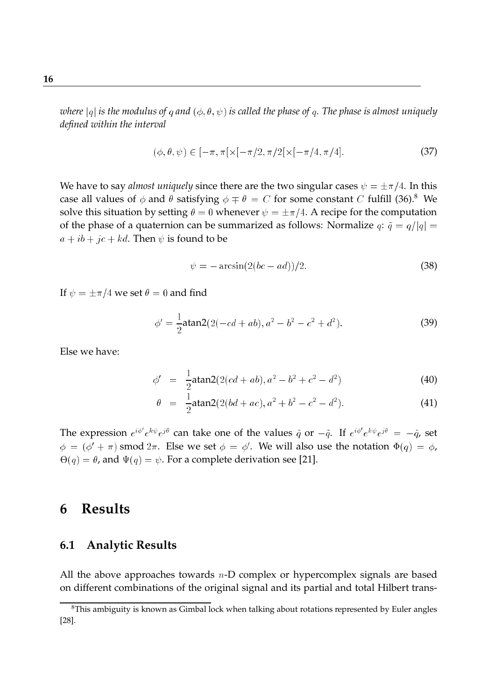$$
(\phi, \theta, \psi) \in [-\pi, \pi[ \times [-\pi/2, \pi/2[ \times [-\pi/4, \pi/4]. \tag{37})
$$

We have to say *almost uniquely* since there are the two singular cases  $\psi = \pm \pi/4$ . In this case all values of  $\phi$  and  $\theta$  satisfying  $\phi \mp \theta = C$  for some constant C fulfill (36).<sup>8</sup> We solve this situation by setting  $\theta = 0$  whenever  $\psi = \pm \pi/4$ . A recipe for the computation of the phase of a quaternion can be summarized as follows: Normalize  $q: \tilde{q} = q/|q| =$  $a + ib + jc + kd$ . Then  $\psi$  is found to be

$$
\psi = -\arcsin(2(bc - ad))/2. \tag{38}
$$

If  $\psi = \pm \pi/4$  we set  $\theta = 0$  and find

$$
\phi' = \frac{1}{2} \text{atan2}(2(-cd+ab), a^2 - b^2 - c^2 + d^2). \tag{39}
$$

Else we have:

$$
\phi' = \frac{1}{2} \text{atan2}(2(cd+ab), a^2 - b^2 + c^2 - d^2) \tag{40}
$$

$$
\theta = \frac{1}{2} \text{atan2}(2(bd + ac), a^2 + b^2 - c^2 - d^2). \tag{41}
$$

The expression  $e^{i\phi'}e^{k\psi}e^{j\theta}$  can take one of the values  $\tilde{q}$  or  $-\tilde{q}$ . If  $e^{i\phi'}e^{k\psi}e^{j\theta} = -\tilde{q}$ , set  $\phi\,=\,(\phi^\prime\,+\,\pi)$  smod  $2\pi.$  Else we set  $\phi\,=\,\phi^\prime.$  We will also use the notation  $\Phi(q)\,=\,\phi$ ,  $\Theta(q) = \theta$ , and  $\Psi(q) = \psi$ . For a complete derivation see [21].

### **6 Results**

#### **6.1 Analytic Results**

All the above approaches towards  $n$ -D complex or hypercomplex signals are based on different combinations of the original signal and its partial and total Hilbert trans-

<sup>&</sup>lt;sup>8</sup>This ambiguity is known as Gimbal lock when talking about rotations represented by Euler angles [28].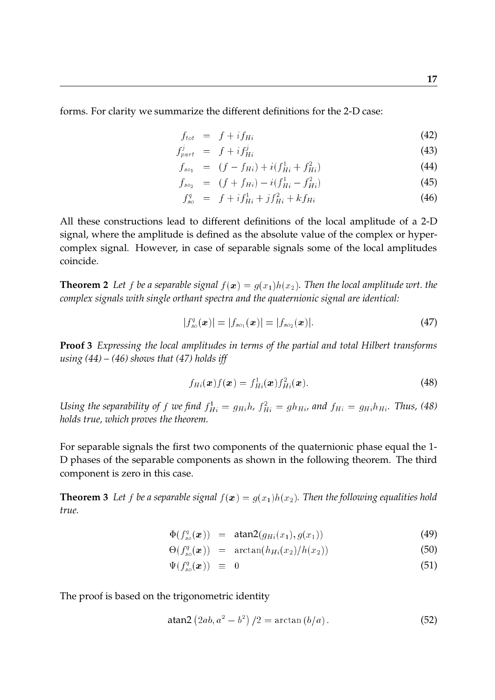forms. For clarity we summarize the different definitions for the 2-D case:

$$
f_{tot} = f + i f_{Hi} \tag{42}
$$

$$
f_{part}^j = f + i f_{Hi}^j \tag{43}
$$

$$
f_{so_1} = (f - f_{Hi}) + i(f_{Hi}^1 + f_{Hi}^2)
$$
\n(44)

$$
f_{so_2} = (f + f_{Hi}) - i(f_{Hi}^1 - f_{Hi}^2)
$$
\n(45)

$$
f_{so}^q = f + i f_{Hi}^1 + j f_{Hi}^2 + k f_{Hi}
$$
\n(46)

All these constructions lead to different definitions of the local amplitude of a 2-D signal, where the amplitude is defined as the absolute value of the complex or hypercomplex signal. However, in case of separable signals some of the local amplitudes coincide.

**Theorem 2** Let f be a separable signal  $f(x) = g(x_1)h(x_2)$ . Then the local amplitude wrt. the *complex signals with single orthant spectra and the quaternionic signal are identical:*

$$
|f_{so}^q(\bm{x})| = |f_{so_1}(\bm{x})| = |f_{so_2}(\bm{x})|.
$$
 (47)

**Proof 3** *Expressing the local amplitudes in terms of the partial and total Hilbert transforms using (44) – (46) shows that (47) holds iff*

$$
f_{Hi}(\boldsymbol{x}) f(\boldsymbol{x}) = f_{Hi}^1(\boldsymbol{x}) f_{Hi}^2(\boldsymbol{x}). \tag{48}
$$

Using the separability of f we find  $f_{Hi}^1 = g_{Hi} h$ ,  $f_{Hi}^2 = g h_{Hi}$ , and  $f_{Hi} = g_{Hi} h_{Hi}$ . Thus, (48) *holds true, which proves the theorem.*

For separable signals the first two components of the quaternionic phase equal the 1- D phases of the separable components as shown in the following theorem. The third component is zero in this case.

**Theorem 3** Let f be a separable signal  $f(x) = g(x_1)h(x_2)$ . Then the following equalities hold *true.*

$$
\Phi(f_{so}^q(\boldsymbol{x})) = \text{atan2}(g_{Hi}(x_1), g(x_1)) \tag{49}
$$

$$
\Theta(f_{so}^q(\boldsymbol{x})) = \arctan(h_{Hi}(x_2)/h(x_2)) \tag{50}
$$

$$
\Psi(f_{so}^q(\boldsymbol{x})) \equiv 0 \tag{51}
$$

The proof is based on the trigonometric identity

$$
atan2 (2ab, a2 – b2) / 2 = arctan (b/a).
$$
 (52)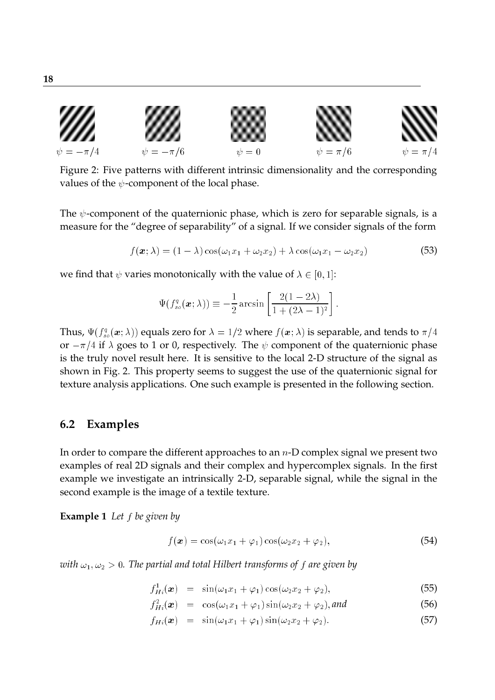

Figure 2: Five patterns with different intrinsic dimensionality and the corresponding values of the  $\psi$ -component of the local phase.

The  $\psi$ -component of the quaternionic phase, which is zero for separable signals, is a measure for the "degree of separability" of a signal. If we consider signals of the form

$$
f(\boldsymbol{x};\lambda) = (1-\lambda)\cos(\omega_1 x_1 + \omega_2 x_2) + \lambda \cos(\omega_1 x_1 - \omega_2 x_2)
$$
\n(53)

we find that  $\psi$  varies monotonically with the value of  $\lambda \in [0, 1]$ :

$$
\Psi(f_{so}^q(\boldsymbol{x};\lambda)) \equiv -\frac{1}{2}\arcsin\left[\frac{2(1-2\lambda)}{1+(2\lambda-1)^2}\right].
$$

Thus,  $\Psi(f_{so}^{q}(\bm{x};\lambda))$  equals zero for  $\lambda=1/2$  where  $f(\bm{x};\lambda)$  is separable, and tends to  $\pi/4$ or  $-\pi/4$  if  $\lambda$  goes to 1 or 0, respectively. The  $\psi$  component of the quaternionic phase is the truly novel result here. It is sensitive to the local 2-D structure of the signal as shown in Fig. 2. This property seems to suggest the use of the quaternionic signal for texture analysis applications. One such example is presented in the following section.

#### **6.2 Examples**

In order to compare the different approaches to an  $n$ -D complex signal we present two examples of real 2D signals and their complex and hypercomplex signals. In the first example we investigate an intrinsically 2-D, separable signal, while the signal in the second example is the image of a textile texture.

**Example 1** *Let* <sup>f</sup> *be given by*

$$
f(\boldsymbol{x}) = \cos(\omega_1 x_1 + \varphi_1) \cos(\omega_2 x_2 + \varphi_2), \tag{54}
$$

*with*  $\omega_1, \omega_2 > 0$ . The partial and total Hilbert transforms of f are given by

 $f_{Hi}^{1}(\boldsymbol{x}) = \sin(\omega_1 x_1 + \varphi_1) \cos(\omega_2 x_2 + \varphi_2),$  (55)

$$
f_{Hi}^2(\boldsymbol{x}) = \cos(\omega_1 x_1 + \varphi_1) \sin(\omega_2 x_2 + \varphi_2), \text{and} \qquad (56)
$$

$$
f_{Hi}(\boldsymbol{x}) = \sin(\omega_1 x_1 + \varphi_1) \sin(\omega_2 x_2 + \varphi_2). \tag{57}
$$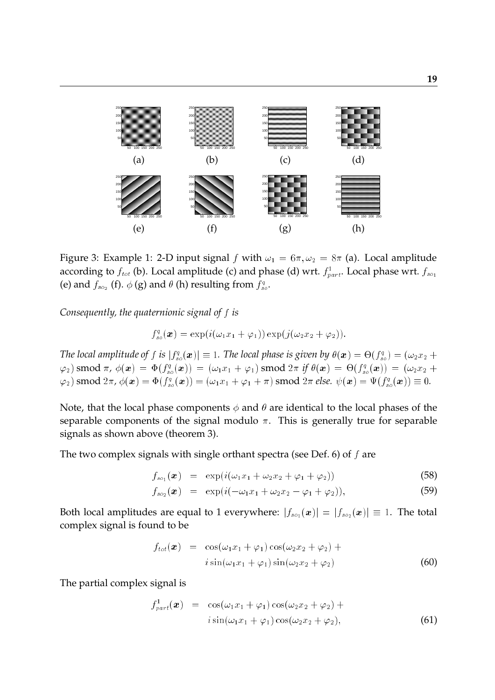

Figure 3: Example 1: 2-D input signal f with  $\omega_1 = 6\pi, \omega_2 = 8\pi$  (a). Local amplitude according to  $f_{tot}$  (b). Local amplitude (c) and phase (d) wrt.  $f_{part}^1$ . Local phase wrt.  $f_{so_1}$ (e) and  $f_{so_2}$  (f).  $\phi$  (g) and  $\theta$  (h) resulting from  $f_{so}^q$ .

*Consequently, the quaternionic signal of* <sup>f</sup> *is*

 $f_{so}^{q}(\bm{x}) = \exp(i(\omega_{1}x_{1} + \varphi_{1})) \exp(j(\omega_{2}x_{2} + \varphi_{2})).$ 

*The local amplitude of f is*  $|f_{so}^q(\bm{x})|\equiv 1.$  *The local phase is given by*  $\theta(\bm{x}) = \Theta(f_{so}^q) = (\omega_2 x_2 + \omega_1)^{1/2}$  $\mathcal{L}_{(2)}(\varphi_2) \ \mathrm{smooth}\ \pi$ ,  $\phi(\bm{x})\ =\ \Phi(f_{so}^q(\bm{x}))\ =\ (\omega_1x_1+\varphi_1) \ \mathrm{smooth}\ 2\pi\ \textit{if}\ \theta(\bm{x})\ =\ \Theta(f_{so}^q(\bm{x}))\ =\ (\omega_2x_2+\varphi_1) \ \mathrm{smooth}\ 2\pi$  $(\varphi_2)$  smod  $2\pi$  ,  $\phi(\bm{x}) = \Phi(f_{so}^q(\bm{x})) = (\omega_1x_1 + \varphi_1 + \pi)$  smod  $2\pi$  else.  $\psi(\bm{x}) = \Psi(f_{so}^q(\bm{x})) \equiv 0.$ 

Note, that the local phase components  $\phi$  and  $\theta$  are identical to the local phases of the separable components of the signal modulo  $\pi$ . This is generally true for separable signals as shown above (theorem 3).

The two complex signals with single orthant spectra (see Def. 6) of  $f$  are

$$
f_{so_1}(\boldsymbol{x}) = \exp(i(\omega_1 x_1 + \omega_2 x_2 + \varphi_1 + \varphi_2)) \tag{58}
$$

$$
f_{so_2}(\boldsymbol{x}) = \exp(i(-\omega_1 x_1 + \omega_2 x_2 - \varphi_1 + \varphi_2)), \qquad (59)
$$

Both local amplitudes are equal to 1 everywhere:  $|f_{so_1}(\boldsymbol{x})| = |f_{so_2}(\boldsymbol{x})| \equiv 1$ . The total complex signal is found to be

$$
f_{tot}(\boldsymbol{x}) = \cos(\omega_1 x_1 + \varphi_1) \cos(\omega_2 x_2 + \varphi_2) +
$$
  

$$
i \sin(\omega_1 x_1 + \varphi_1) \sin(\omega_2 x_2 + \varphi_2)
$$
 (60)

The partial complex signal is

$$
f_{part}^1(\boldsymbol{x}) = \cos(\omega_1 x_1 + \varphi_1) \cos(\omega_2 x_2 + \varphi_2) + i \sin(\omega_1 x_1 + \varphi_1) \cos(\omega_2 x_2 + \varphi_2), \qquad (61)
$$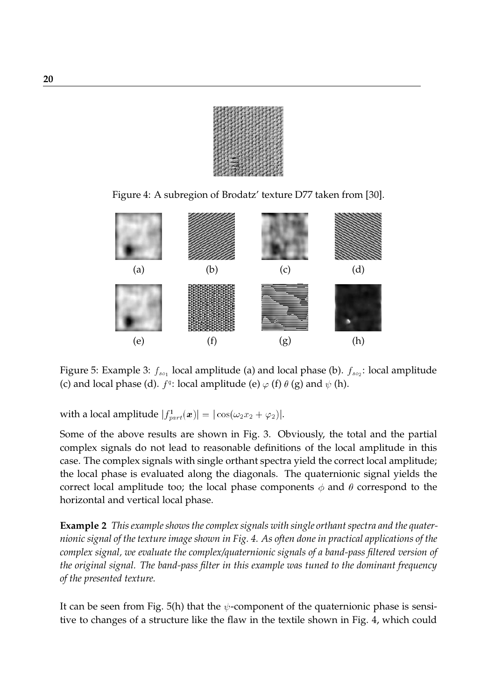Figure 4: A subregion of Brodatz' texture D77 taken from [30].



Figure 5: Example 3:  $f_{so_1}$  local amplitude (a) and local phase (b).  $f_{so_2}$ : local amplitude (c) and local phase (d).  $f^q$ : local amplitude (e)  $\varphi$  (f)  $\theta$  (g) and  $\psi$  (h).

with a local amplitude  $|f_{part}^1(\boldsymbol{x})|=|\cos(\omega_2x_2+\varphi_2)|.$ 

Some of the above results are shown in Fig. 3. Obviously, the total and the partial complex signals do not lead to reasonable definitions of the local amplitude in this case. The complex signals with single orthant spectra yield the correct local amplitude; the local phase is evaluated along the diagonals. The quaternionic signal yields the correct local amplitude too; the local phase components  $\phi$  and  $\theta$  correspond to the horizontal and vertical local phase.

**Example 2** *This example shows the complex signals with single orthant spectra and the quaternionic signal of the texture image shown in Fig. 4. As often done in practical applications of the complex signal, we evaluate the complex/quaternionic signals of a band-pass filtered version of the original signal. The band-pass filter in this example was tuned to the dominant frequency of the presented texture.*

It can be seen from Fig. 5(h) that the  $\psi$ -component of the quaternionic phase is sensitive to changes of a structure like the flaw in the textile shown in Fig. 4, which could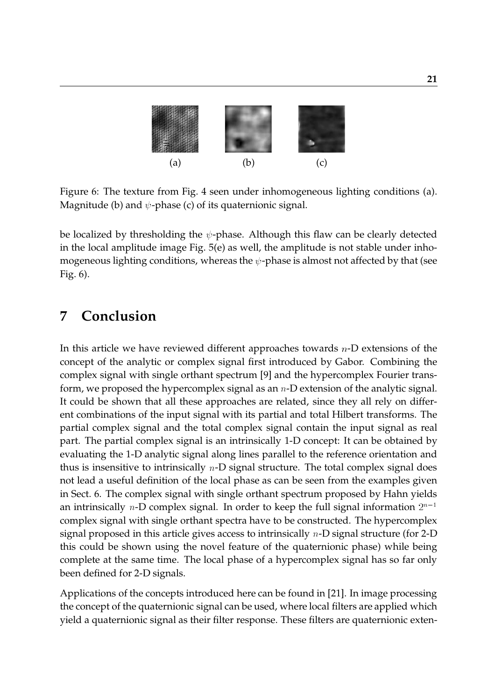

Figure 6: The texture from Fig. 4 seen under inhomogeneous lighting conditions (a). Magnitude (b) and  $\psi$ -phase (c) of its quaternionic signal.

be localized by thresholding the  $\psi$ -phase. Although this flaw can be clearly detected in the local amplitude image Fig.  $5(e)$  as well, the amplitude is not stable under inhomogeneous lighting conditions, whereas the  $\psi$ -phase is almost not affected by that (see Fig. 6).

### **7 Conclusion**

In this article we have reviewed different approaches towards  $n-D$  extensions of the concept of the analytic or complex signal first introduced by Gabor. Combining the complex signal with single orthant spectrum [9] and the hypercomplex Fourier transform, we proposed the hypercomplex signal as an  $n$ -D extension of the analytic signal. It could be shown that all these approaches are related, since they all rely on different combinations of the input signal with its partial and total Hilbert transforms. The partial complex signal and the total complex signal contain the input signal as real part. The partial complex signal is an intrinsically 1-D concept: It can be obtained by evaluating the 1-D analytic signal along lines parallel to the reference orientation and thus is insensitive to intrinsically  $n$ -D signal structure. The total complex signal does not lead a useful definition of the local phase as can be seen from the examples given in Sect. 6. The complex signal with single orthant spectrum proposed by Hahn yields an intrinsically  $n\text{-}\mathbf{D}$  complex signal. In order to keep the full signal information  $2^{n-1}$ complex signal with single orthant spectra have to be constructed. The hypercomplex signal proposed in this article gives access to intrinsically <sup>n</sup>-D signal structure (for 2-D this could be shown using the novel feature of the quaternionic phase) while being complete at the same time. The local phase of a hypercomplex signal has so far only been defined for 2-D signals.

Applications of the concepts introduced here can be found in [21]. In image processing the concept of the quaternionic signal can be used, where local filters are applied which yield a quaternionic signal as their filter response. These filters are quaternionic exten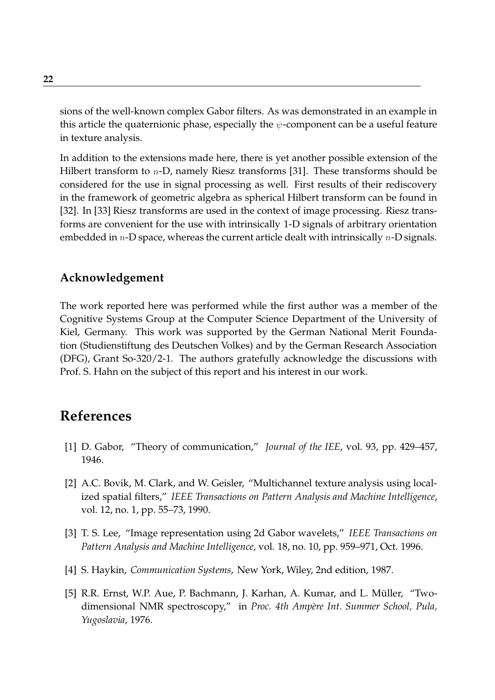sions of the well-known complex Gabor filters. As was demonstrated in an example in this article the quaternionic phase, especially the  $\psi$ -component can be a useful feature in texture analysis.

In addition to the extensions made here, there is yet another possible extension of the Hilbert transform to *n*-D, namely Riesz transforms [31]. These transforms should be considered for the use in signal processing as well. First results of their rediscovery in the framework of geometric algebra as spherical Hilbert transform can be found in [32]. In [33] Riesz transforms are used in the context of image processing. Riesz transforms are convenient for the use with intrinsically 1-D signals of arbitrary orientation embedded in  $n$ -D space, whereas the current article dealt with intrinsically  $n$ -D signals.

#### **Acknowledgement**

The work reported here was performed while the first author was a member of the Cognitive Systems Group at the Computer Science Department of the University of Kiel, Germany. This work was supported by the German National Merit Foundation (Studienstiftung des Deutschen Volkes) and by the German Research Association (DFG), Grant So-320/2-1. The authors gratefully acknowledge the discussions with Prof. S. Hahn on the subject of this report and his interest in our work.

## **References**

- [1] D. Gabor, "Theory of communication," *Journal of the IEE*, vol. 93, pp. 429–457, 1946.
- [2] A.C. Bovik, M. Clark, and W. Geisler, "Multichannel texture analysis using localized spatial filters," *IEEE Transactions on Pattern Analysis and Machine Intelligence*, vol. 12, no. 1, pp. 55–73, 1990.
- [3] T. S. Lee, "Image representation using 2d Gabor wavelets," *IEEE Transactions on Pattern Analysis and Machine Intelligence*, vol. 18, no. 10, pp. 959–971, Oct. 1996.
- [4] S. Haykin, *Communication Systems*, New York, Wiley, 2nd edition, 1987.
- [5] R.R. Ernst, W.P. Aue, P. Bachmann, J. Karhan, A. Kumar, and L. Müller, "Twodimensional NMR spectroscopy," in *Proc. 4th Ampère Int. Summer School, Pula*, *Yugoslavia*, 1976.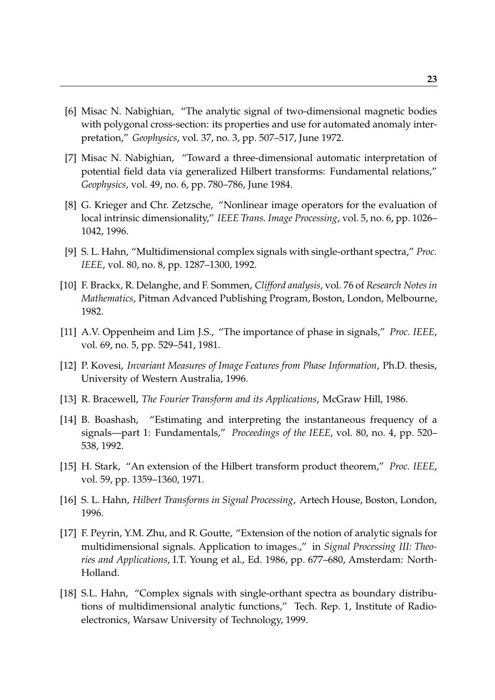- [6] Misac N. Nabighian, "The analytic signal of two-dimensional magnetic bodies with polygonal cross-section: its properties and use for automated anomaly interpretation," *Geophysics*, vol. 37, no. 3, pp. 507–517, June 1972.
- [7] Misac N. Nabighian, "Toward a three-dimensional automatic interpretation of potential field data via generalized Hilbert transforms: Fundamental relations," *Geophysics*, vol. 49, no. 6, pp. 780–786, June 1984.
- [8] G. Krieger and Chr. Zetzsche, "Nonlinear image operators for the evaluation of local intrinsic dimensionality," *IEEE Trans. Image Processing*, vol. 5, no. 6, pp. 1026– 1042, 1996.
- [9] S. L. Hahn, "Multidimensional complex signals with single-orthant spectra," *Proc. IEEE*, vol. 80, no. 8, pp. 1287–1300, 1992.
- [10] F. Brackx, R. Delanghe, and F. Sommen, *Clifford analysis*, vol. 76 of *Research Notes in Mathematics*, Pitman Advanced Publishing Program, Boston, London, Melbourne, 1982.
- [11] A.V. Oppenheim and Lim J.S., "The importance of phase in signals," *Proc. IEEE*, vol. 69, no. 5, pp. 529–541, 1981.
- [12] P. Kovesi, *Invariant Measures of Image Features from Phase Information*, Ph.D. thesis, University of Western Australia, 1996.
- [13] R. Bracewell, *The Fourier Transform and its Applications*, McGraw Hill, 1986.
- [14] B. Boashash, "Estimating and interpreting the instantaneous frequency of a signals—part 1: Fundamentals," *Proceedings of the IEEE*, vol. 80, no. 4, pp. 520– 538, 1992.
- [15] H. Stark, "An extension of the Hilbert transform product theorem," *Proc. IEEE*, vol. 59, pp. 1359–1360, 1971.
- [16] S. L. Hahn, *Hilbert Transforms in Signal Processing*, Artech House, Boston, London, 1996.
- [17] F. Peyrin, Y.M. Zhu, and R. Goutte, "Extension of the notion of analytic signals for multidimensional signals. Application to images.," in *Signal Processing III: Theories and Applications*, I.T. Young et al., Ed. 1986, pp. 677–680, Amsterdam: North-Holland.
- [18] S.L. Hahn, "Complex signals with single-orthant spectra as boundary distributions of multidimensional analytic functions," Tech. Rep. 1, Institute of Radioelectronics, Warsaw University of Technology, 1999.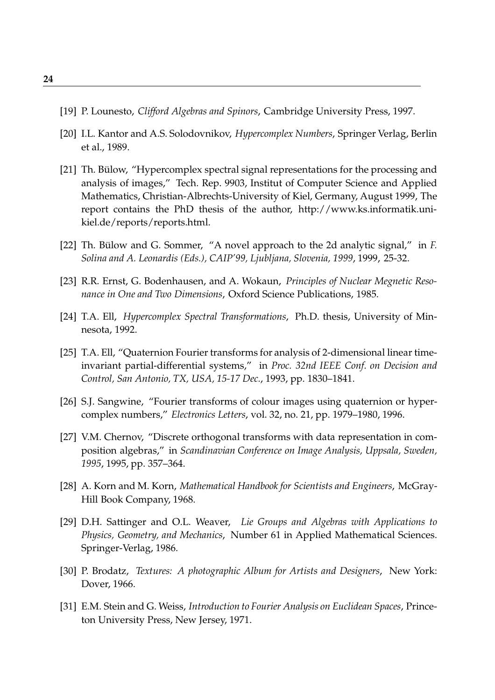- [19] P. Lounesto, *Clifford Algebras and Spinors*, Cambridge University Press, 1997.
- [20] I.L. Kantor and A.S. Solodovnikov, *Hypercomplex Numbers*, Springer Verlag, Berlin et al., 1989.
- [21] Th. Bülow, "Hypercomplex spectral signal representations for the processing and analysis of images," Tech. Rep. 9903, Institut of Computer Science and Applied Mathematics, Christian-Albrechts-University of Kiel, Germany, August 1999, The report contains the PhD thesis of the author, http://www.ks.informatik.unikiel.de/reports/reports.html.
- [22] Th. Bülow and G. Sommer, "A novel approach to the 2d analytic signal," in *F. Solina and A. Leonardis (Eds.), CAIP'99, Ljubljana, Slovenia, 1999*, 1999, 25-32.
- [23] R.R. Ernst, G. Bodenhausen, and A. Wokaun, *Principles of Nuclear Megnetic Resonance in One and Two Dimensions*, Oxford Science Publications, 1985.
- [24] T.A. Ell, *Hypercomplex Spectral Transformations*, Ph.D. thesis, University of Minnesota, 1992.
- [25] T.A. Ell, "Quaternion Fourier transforms for analysis of 2-dimensional linear timeinvariant partial-differential systems," in *Proc. 32nd IEEE Conf. on Decision and Control, San Antonio, TX, USA, 15-17 Dec.*, 1993, pp. 1830–1841.
- [26] S.J. Sangwine, "Fourier transforms of colour images using quaternion or hypercomplex numbers," *Electronics Letters*, vol. 32, no. 21, pp. 1979–1980, 1996.
- [27] V.M. Chernov, "Discrete orthogonal transforms with data representation in composition algebras," in *Scandinavian Conference on Image Analysis, Uppsala, Sweden, 1995*, 1995, pp. 357–364.
- [28] A. Korn and M. Korn, *Mathematical Handbook for Scientists and Engineers*, McGray-Hill Book Company, 1968.
- [29] D.H. Sattinger and O.L. Weaver, *Lie Groups and Algebras with Applications to Physics, Geometry, and Mechanics*, Number 61 in Applied Mathematical Sciences. Springer-Verlag, 1986.
- [30] P. Brodatz, *Textures: A photographic Album for Artists and Designers*, New York: Dover, 1966.
- [31] E.M. Stein and G. Weiss, *Introduction to Fourier Analysis on Euclidean Spaces*, Princeton University Press, New Jersey, 1971.